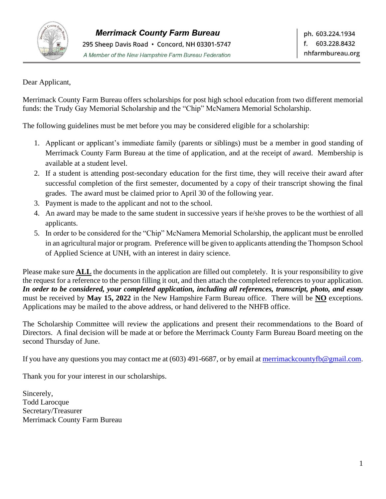

Dear Applicant,

Merrimack County Farm Bureau offers scholarships for post high school education from two different memorial funds: the Trudy Gay Memorial Scholarship and the "Chip" McNamera Memorial Scholarship.

The following guidelines must be met before you may be considered eligible for a scholarship:

- 1. Applicant or applicant's immediate family (parents or siblings) must be a member in good standing of Merrimack County Farm Bureau at the time of application, and at the receipt of award. Membership is available at a student level.
- 2. If a student is attending post-secondary education for the first time, they will receive their award after successful completion of the first semester, documented by a copy of their transcript showing the final grades. The award must be claimed prior to April 30 of the following year.
- 3. Payment is made to the applicant and not to the school.
- 4. An award may be made to the same student in successive years if he/she proves to be the worthiest of all applicants.
- 5. In order to be considered for the "Chip" McNamera Memorial Scholarship, the applicant must be enrolled in an agricultural major or program. Preference will be given to applicants attending the Thompson School of Applied Science at UNH, with an interest in dairy science.

Please make sure **ALL** the documents in the application are filled out completely. It is your responsibility to give the request for a reference to the person filling it out, and then attach the completed references to your application. *In order to be considered, your completed application, including all references, transcript, photo, and essay* must be received by **May 15, 2022** in the New Hampshire Farm Bureau office. There will be **NO** exceptions. Applications may be mailed to the above address, or hand delivered to the NHFB office.

The Scholarship Committee will review the applications and present their recommendations to the Board of Directors. A final decision will be made at or before the Merrimack County Farm Bureau Board meeting on the second Thursday of June.

If you have any questions you may contact me at  $(603)$  491-6687, or by email at merrimack countyfb@gmail.com.

Thank you for your interest in our scholarships.

Sincerely, Todd Larocque Secretary/Treasurer Merrimack County Farm Bureau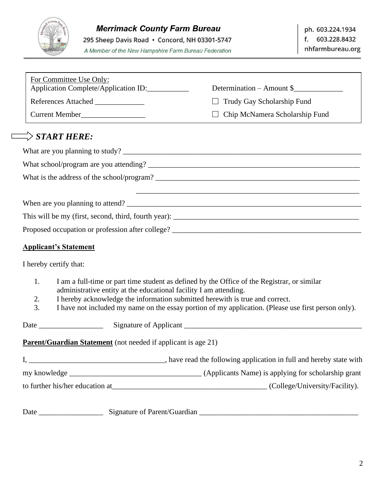

295 Sheep Davis Road · Concord, NH 03301-5747

A Member of the New Hampshire Farm Bureau Federation

| For Committee Use Only:<br>Application Complete/Application ID:                          | Determination – Amount \$                                                                           |
|------------------------------------------------------------------------------------------|-----------------------------------------------------------------------------------------------------|
|                                                                                          | $\Box$ Trudy Gay Scholarship Fund                                                                   |
| References Attached                                                                      | $\Box$                                                                                              |
| Current Member                                                                           | Chip McNamera Scholarship Fund                                                                      |
| $\Rightarrow$ start here:                                                                |                                                                                                     |
|                                                                                          |                                                                                                     |
|                                                                                          |                                                                                                     |
|                                                                                          |                                                                                                     |
|                                                                                          | ,我们也不能在这里的时候,我们也不能在这里的时候,我们也不能会在这里的时候,我们也不能会在这里的时候,我们也不能会在这里的时候,我们也不能会在这里的时候,我们也不                   |
|                                                                                          |                                                                                                     |
|                                                                                          |                                                                                                     |
|                                                                                          |                                                                                                     |
| <b>Applicant's Statement</b>                                                             |                                                                                                     |
| I hereby certify that:                                                                   |                                                                                                     |
| 1.                                                                                       | I am a full-time or part time student as defined by the Office of the Registrar, or similar         |
| administrative entity at the educational facility I am attending.                        |                                                                                                     |
| I hereby acknowledge the information submitted herewith is true and correct.<br>2.<br>3. | I have not included my name on the essay portion of my application. (Please use first person only). |
| Date                                                                                     |                                                                                                     |
| <b>Parent/Guardian Statement</b> (not needed if applicant is age 21)                     |                                                                                                     |
|                                                                                          |                                                                                                     |
|                                                                                          |                                                                                                     |
|                                                                                          |                                                                                                     |
|                                                                                          |                                                                                                     |
| Date                                                                                     |                                                                                                     |

q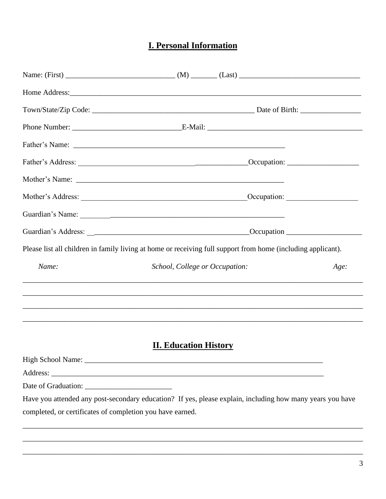# **I. Personal Information**

| Please list all children in family living at home or receiving full support from home (including applicant). |                                |  |  |      |
|--------------------------------------------------------------------------------------------------------------|--------------------------------|--|--|------|
| Name:                                                                                                        | School, College or Occupation: |  |  | Age: |
|                                                                                                              |                                |  |  |      |
|                                                                                                              | <b>II. Education History</b>   |  |  |      |
|                                                                                                              |                                |  |  |      |
|                                                                                                              |                                |  |  |      |
|                                                                                                              |                                |  |  |      |
| Have you attended any post-secondary education? If yes, please explain, including how many years you have    |                                |  |  |      |
| completed, or certificates of completion you have earned.                                                    |                                |  |  |      |
|                                                                                                              |                                |  |  |      |
|                                                                                                              |                                |  |  |      |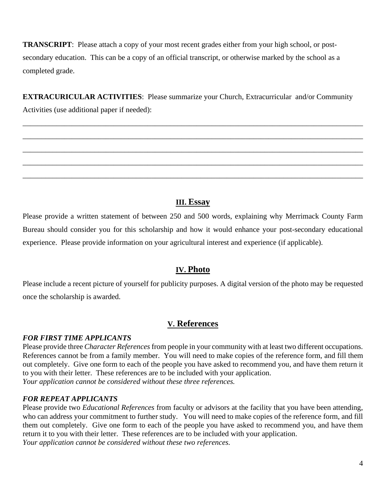**TRANSCRIPT**: Please attach a copy of your most recent grades either from your high school, or postsecondary education. This can be a copy of an official transcript, or otherwise marked by the school as a completed grade.

**EXTRACURICULAR ACTIVITIES**: Please summarize your Church, Extracurricular and/or Community Activities (use additional paper if needed):

\_\_\_\_\_\_\_\_\_\_\_\_\_\_\_\_\_\_\_\_\_\_\_\_\_\_\_\_\_\_\_\_\_\_\_\_\_\_\_\_\_\_\_\_\_\_\_\_\_\_\_\_\_\_\_\_\_\_\_\_\_\_\_\_\_\_\_\_\_\_\_\_\_\_\_\_\_\_\_\_\_\_\_\_\_\_\_\_\_\_

\_\_\_\_\_\_\_\_\_\_\_\_\_\_\_\_\_\_\_\_\_\_\_\_\_\_\_\_\_\_\_\_\_\_\_\_\_\_\_\_\_\_\_\_\_\_\_\_\_\_\_\_\_\_\_\_\_\_\_\_\_\_\_\_\_\_\_\_\_\_\_\_\_\_\_\_\_\_\_\_\_\_\_\_\_\_\_\_\_\_

\_\_\_\_\_\_\_\_\_\_\_\_\_\_\_\_\_\_\_\_\_\_\_\_\_\_\_\_\_\_\_\_\_\_\_\_\_\_\_\_\_\_\_\_\_\_\_\_\_\_\_\_\_\_\_\_\_\_\_\_\_\_\_\_\_\_\_\_\_\_\_\_\_\_\_\_\_\_\_\_\_\_\_\_\_\_\_\_\_\_

\_\_\_\_\_\_\_\_\_\_\_\_\_\_\_\_\_\_\_\_\_\_\_\_\_\_\_\_\_\_\_\_\_\_\_\_\_\_\_\_\_\_\_\_\_\_\_\_\_\_\_\_\_\_\_\_\_\_\_\_\_\_\_\_\_\_\_\_\_\_\_\_\_\_\_\_\_\_\_\_\_\_\_\_\_\_\_\_\_\_

\_\_\_\_\_\_\_\_\_\_\_\_\_\_\_\_\_\_\_\_\_\_\_\_\_\_\_\_\_\_\_\_\_\_\_\_\_\_\_\_\_\_\_\_\_\_\_\_\_\_\_\_\_\_\_\_\_\_\_\_\_\_\_\_\_\_\_\_\_\_\_\_\_\_\_\_\_\_\_\_\_\_\_\_\_\_\_\_\_\_

### **III. Essay**

Please provide a written statement of between 250 and 500 words, explaining why Merrimack County Farm Bureau should consider you for this scholarship and how it would enhance your post-secondary educational experience. Please provide information on your agricultural interest and experience (if applicable).

#### **IV. Photo**

Please include a recent picture of yourself for publicity purposes. A digital version of the photo may be requested once the scholarship is awarded.

#### **V. References**

#### *FOR FIRST TIME APPLICANTS*

Please provide three *Character References* from people in your community with at least two different occupations. References cannot be from a family member. You will need to make copies of the reference form, and fill them out completely. Give one form to each of the people you have asked to recommend you, and have them return it to you with their letter. These references are to be included with your application. *Your application cannot be considered without these three references.*

#### *FOR REPEAT APPLICANTS*

Please provide two *Educational References* from faculty or advisors at the facility that you have been attending, who can address your commitment to further study. You will need to make copies of the reference form, and fill them out completely. Give one form to each of the people you have asked to recommend you, and have them return it to you with their letter. These references are to be included with your application. *Your application cannot be considered without these two references.*